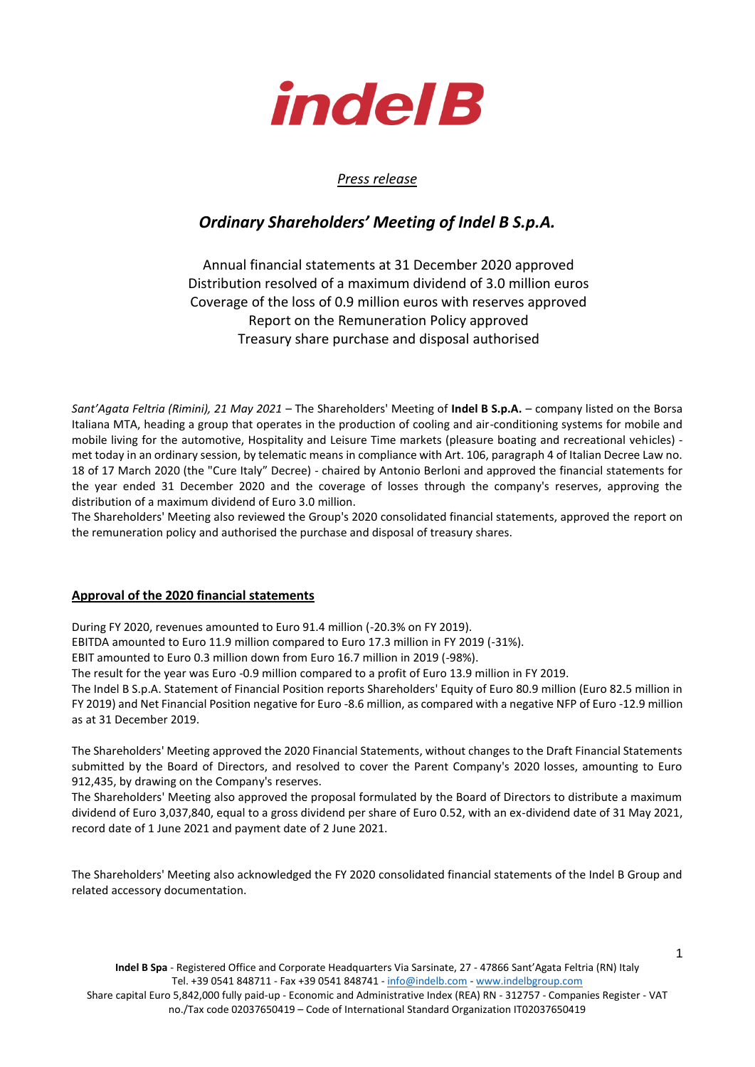

### *Press release*

# *Ordinary Shareholders' Meeting of Indel B S.p.A.*

## Annual financial statements at 31 December 2020 approved Distribution resolved of a maximum dividend of 3.0 million euros Coverage of the loss of 0.9 million euros with reserves approved Report on the Remuneration Policy approved Treasury share purchase and disposal authorised

*Sant'Agata Feltria (Rimini), 21 May 2021* – The Shareholders' Meeting of **Indel B S.p.A.** – company listed on the Borsa Italiana MTA, heading a group that operates in the production of cooling and air-conditioning systems for mobile and mobile living for the automotive, Hospitality and Leisure Time markets (pleasure boating and recreational vehicles) met today in an ordinary session, by telematic means in compliance with Art. 106, paragraph 4 of Italian Decree Law no. 18 of 17 March 2020 (the "Cure Italy" Decree) - chaired by Antonio Berloni and approved the financial statements for the year ended 31 December 2020 and the coverage of losses through the company's reserves, approving the distribution of a maximum dividend of Euro 3.0 million.

The Shareholders' Meeting also reviewed the Group's 2020 consolidated financial statements, approved the report on the remuneration policy and authorised the purchase and disposal of treasury shares.

#### **Approval of the 2020 financial statements**

During FY 2020, revenues amounted to Euro 91.4 million (-20.3% on FY 2019).

EBITDA amounted to Euro 11.9 million compared to Euro 17.3 million in FY 2019 (-31%).

EBIT amounted to Euro 0.3 million down from Euro 16.7 million in 2019 (-98%).

The result for the year was Euro -0.9 million compared to a profit of Euro 13.9 million in FY 2019.

The Indel B S.p.A. Statement of Financial Position reports Shareholders' Equity of Euro 80.9 million (Euro 82.5 million in FY 2019) and Net Financial Position negative for Euro -8.6 million, as compared with a negative NFP of Euro -12.9 million as at 31 December 2019.

The Shareholders' Meeting approved the 2020 Financial Statements, without changes to the Draft Financial Statements submitted by the Board of Directors, and resolved to cover the Parent Company's 2020 losses, amounting to Euro 912,435, by drawing on the Company's reserves.

The Shareholders' Meeting also approved the proposal formulated by the Board of Directors to distribute a maximum dividend of Euro 3,037,840, equal to a gross dividend per share of Euro 0.52, with an ex-dividend date of 31 May 2021, record date of 1 June 2021 and payment date of 2 June 2021.

The Shareholders' Meeting also acknowledged the FY 2020 consolidated financial statements of the Indel B Group and related accessory documentation.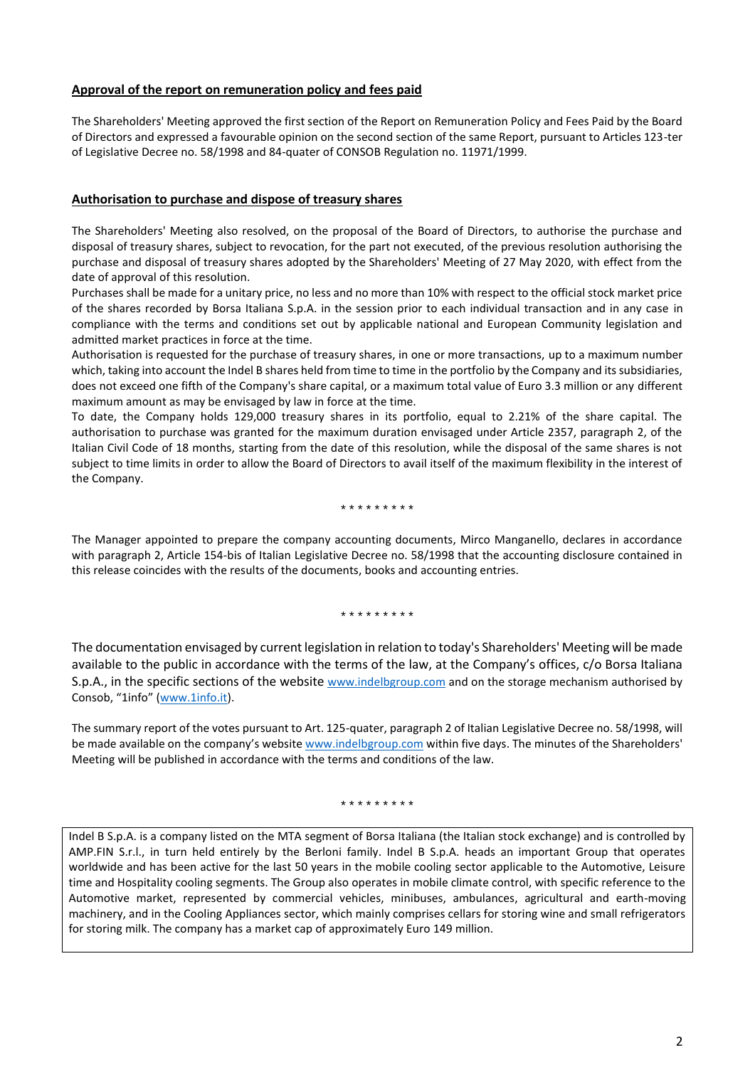### **Approval of the report on remuneration policy and fees paid**

The Shareholders' Meeting approved the first section of the Report on Remuneration Policy and Fees Paid by the Board of Directors and expressed a favourable opinion on the second section of the same Report, pursuant to Articles 123-ter of Legislative Decree no. 58/1998 and 84-quater of CONSOB Regulation no. 11971/1999.

#### **Authorisation to purchase and dispose of treasury shares**

The Shareholders' Meeting also resolved, on the proposal of the Board of Directors, to authorise the purchase and disposal of treasury shares, subject to revocation, for the part not executed, of the previous resolution authorising the purchase and disposal of treasury shares adopted by the Shareholders' Meeting of 27 May 2020, with effect from the date of approval of this resolution.

Purchases shall be made for a unitary price, no less and no more than 10% with respect to the official stock market price of the shares recorded by Borsa Italiana S.p.A. in the session prior to each individual transaction and in any case in compliance with the terms and conditions set out by applicable national and European Community legislation and admitted market practices in force at the time.

Authorisation is requested for the purchase of treasury shares, in one or more transactions, up to a maximum number which, taking into account the Indel B shares held from time to time in the portfolio by the Company and its subsidiaries, does not exceed one fifth of the Company's share capital, or a maximum total value of Euro 3.3 million or any different maximum amount as may be envisaged by law in force at the time.

To date, the Company holds 129,000 treasury shares in its portfolio, equal to 2.21% of the share capital. The authorisation to purchase was granted for the maximum duration envisaged under Article 2357, paragraph 2, of the Italian Civil Code of 18 months, starting from the date of this resolution, while the disposal of the same shares is not subject to time limits in order to allow the Board of Directors to avail itself of the maximum flexibility in the interest of the Company.

#### \* \* \* \* \* \* \* \* \*

The Manager appointed to prepare the company accounting documents, Mirco Manganello, declares in accordance with paragraph 2, Article 154-bis of Italian Legislative Decree no. 58/1998 that the accounting disclosure contained in this release coincides with the results of the documents, books and accounting entries.

#### \* \* \* \* \* \* \* \* \*

The documentation envisaged by current legislation in relation to today's Shareholders' Meeting will be made available to the public in accordance with the terms of the law, at the Company's offices, c/o Borsa Italiana S.p.A., in the specific sections of the website [www.indelbgroup.com](file:///C:/Users/DBENELI/AppData/Local/Microsoft/Windows/INetCache/Content.Outlook/I95OYFDQ/www.indelbgroup.com) and on the storage mechanism authorised by Consob, "1info" ([www.1info.it\)](file:///C:/Users/DBENELI/AppData/Local/Microsoft/Windows/INetCache/Content.Outlook/I95OYFDQ/www.1info.it).

The summary report of the votes pursuant to Art. 125-quater, paragraph 2 of Italian Legislative Decree no. 58/1998, will be made available on the company's website [www.indelbgroup.com](file:///C:/Users/DBENELI/AppData/Local/Microsoft/Windows/INetCache/Content.Outlook/I95OYFDQ/www.indelbgroup.com) within five days. The minutes of the Shareholders' Meeting will be published in accordance with the terms and conditions of the law.

#### \* \* \* \* \* \* \* \* \*

Indel B S.p.A. is a company listed on the MTA segment of Borsa Italiana (the Italian stock exchange) and is controlled by AMP.FIN S.r.l., in turn held entirely by the Berloni family. Indel B S.p.A. heads an important Group that operates worldwide and has been active for the last 50 years in the mobile cooling sector applicable to the Automotive, Leisure time and Hospitality cooling segments. The Group also operates in mobile climate control, with specific reference to the Automotive market, represented by commercial vehicles, minibuses, ambulances, agricultural and earth-moving machinery, and in the Cooling Appliances sector, which mainly comprises cellars for storing wine and small refrigerators for storing milk. The company has a market cap of approximately Euro 149 million.